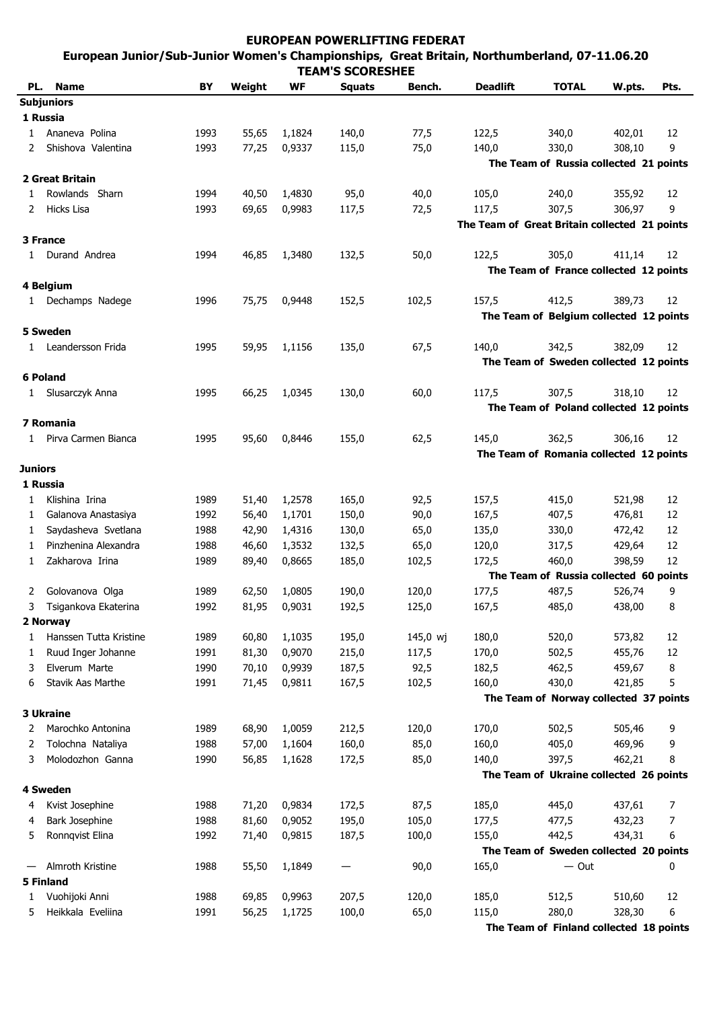## **EUROPEAN POWERLIFTING FEDERAT European Junior/Sub-Junior Women's Championships, Great Britain, Northumberland, 07-11.06.2011**

| <b>TEAM'S SCORESHEE</b> |                        |      |        |              |               |          |                                               |                                         |        |         |  |
|-------------------------|------------------------|------|--------|--------------|---------------|----------|-----------------------------------------------|-----------------------------------------|--------|---------|--|
| PL.                     | <b>Name</b>            | BY   | Weight | WF           | <b>Squats</b> | Bench.   | <b>Deadlift</b>                               | <b>TOTAL</b>                            | W.pts. | Pts.    |  |
|                         | <b>Subjuniors</b>      |      |        |              |               |          |                                               |                                         |        |         |  |
|                         | 1 Russia               |      |        |              |               |          |                                               |                                         |        |         |  |
|                         | Ananeva Polina         | 1993 | 55,65  | 1,1824       | 140,0         | 77,5     | 122,5                                         | 340,0                                   | 402,01 | 12      |  |
|                         | Shishova Valentina     | 1993 | 77,25  | 0,9337       | 115,0         | 75,0     | 140,0                                         | 330,0                                   | 308,10 | 9       |  |
|                         |                        |      |        |              |               |          |                                               | The Team of Russia collected 21 points  |        |         |  |
|                         | 2 Great Britain        |      |        |              |               |          |                                               |                                         |        |         |  |
| 1                       | Rowlands Sharn         | 1994 | 40,50  | 1,4830       | 95,0          | 40,0     | 105,0                                         | 240,0                                   | 355,92 | 12      |  |
| 2                       | Hicks Lisa             | 1993 | 69,65  | 0,9983       | 117,5         | 72,5     | 117,5                                         | 307,5                                   | 306,97 | 9       |  |
|                         |                        |      |        |              |               |          | The Team of Great Britain collected 21 points |                                         |        |         |  |
|                         | 3 France               |      |        |              |               |          |                                               |                                         |        |         |  |
| $\mathbf{1}$            | Durand Andrea          | 1994 | 46,85  | 1,3480       | 132,5         | 50,0     | 122,5                                         | 305,0                                   | 411,14 | 12      |  |
|                         |                        |      |        |              |               |          |                                               | The Team of France collected 12 points  |        |         |  |
|                         | 4 Belgium              |      |        |              |               |          |                                               |                                         |        |         |  |
|                         | 1 Dechamps Nadege      | 1996 | 75,75  | 0,9448       | 152,5         | 102,5    | 157,5                                         | 412,5                                   | 389,73 | 12      |  |
|                         |                        |      |        |              |               |          |                                               | The Team of Belgium collected 12 points |        |         |  |
|                         | 5 Sweden               |      |        |              |               |          |                                               |                                         |        |         |  |
|                         | 1 Leandersson Frida    | 1995 | 59,95  | 1,1156       | 135,0         | 67,5     | 140,0                                         | 342,5                                   | 382,09 | 12      |  |
|                         |                        |      |        |              |               |          |                                               | The Team of Sweden collected 12 points  |        |         |  |
|                         | <b>6 Poland</b>        |      |        |              |               |          |                                               |                                         |        |         |  |
|                         | 1 Slusarczyk Anna      | 1995 | 66,25  | 1,0345       | 130,0         | 60,0     | 117,5                                         | 307,5                                   | 318,10 | 12      |  |
|                         |                        |      |        |              |               |          |                                               | The Team of Poland collected 12 points  |        |         |  |
|                         | 7 Romania              |      |        |              |               |          |                                               |                                         |        |         |  |
| $\mathbf{1}$            | Pirva Carmen Bianca    | 1995 | 95,60  | 0,8446       | 155,0         | 62,5     | 145,0                                         | 362,5                                   | 306,16 | 12      |  |
|                         |                        |      |        |              |               |          |                                               | The Team of Romania collected 12 points |        |         |  |
| <b>Juniors</b>          |                        |      |        |              |               |          |                                               |                                         |        |         |  |
|                         | 1 Russia               |      |        |              |               |          |                                               |                                         |        |         |  |
| 1                       | Klishina Irina         | 1989 | 51,40  | 1,2578       | 165,0         | 92,5     | 157,5                                         | 415,0                                   | 521,98 | 12      |  |
| 1                       | Galanova Anastasiya    | 1992 | 56,40  | 1,1701       | 150,0         | 90,0     | 167,5                                         | 407,5                                   | 476,81 | 12      |  |
| 1                       | Saydasheva Svetlana    | 1988 | 42,90  | 1,4316       | 130,0         | 65,0     | 135,0                                         | 330,0                                   | 472,42 | 12      |  |
| 1                       | Pinzhenina Alexandra   | 1988 | 46,60  | 1,3532       | 132,5         | 65,0     | 120,0                                         | 317,5                                   | 429,64 | 12      |  |
| 1                       | Zakharova Irina        | 1989 | 89,40  | 0,8665       | 185,0         | 102,5    | 172,5                                         | 460,0                                   | 398,59 | 12      |  |
|                         |                        |      |        |              |               |          |                                               | The Team of Russia collected 60 points  |        |         |  |
| 2                       | Golovanova Olga        | 1989 | 62,50  | 1,0805       | 190,0         | 120,0    | 177,5                                         | 487,5                                   | 526,74 | 9       |  |
|                         | Tsigankova Ekaterina   | 1992 |        | 81,95 0,9031 | 192,5         | 125,0    | 167,5                                         | 485,0                                   | 438,00 | $\,8\,$ |  |
|                         | 2 Norway               |      |        |              |               |          |                                               |                                         |        |         |  |
| 1                       | Hanssen Tutta Kristine | 1989 | 60,80  | 1,1035       | 195,0         | 145,0 wj | 180,0                                         | 520,0                                   | 573,82 | 12      |  |
| 1                       | Ruud Inger Johanne     | 1991 | 81,30  | 0,9070       | 215,0         | 117,5    | 170,0                                         | 502,5                                   | 455,76 | 12      |  |
| 3                       | Elverum Marte          | 1990 | 70,10  | 0,9939       | 187,5         | 92,5     | 182,5                                         | 462,5                                   | 459,67 | 8       |  |
| 6                       | Stavik Aas Marthe      | 1991 | 71,45  | 0,9811       | 167,5         | 102,5    | 160,0                                         | 430,0                                   | 421,85 | 5       |  |
|                         |                        |      |        |              |               |          |                                               | The Team of Norway collected 37 points  |        |         |  |
|                         | <b>3 Ukraine</b>       |      |        |              |               |          |                                               |                                         |        |         |  |
| 2                       | Marochko Antonina      | 1989 | 68,90  | 1,0059       | 212,5         | 120,0    | 170,0                                         | 502,5                                   | 505,46 | 9       |  |
| 2                       | Tolochna Nataliya      | 1988 | 57,00  | 1,1604       | 160,0         | 85,0     | 160,0                                         | 405,0                                   | 469,96 | 9       |  |
| 3                       | Molodozhon Ganna       | 1990 | 56,85  | 1,1628       | 172,5         | 85,0     | 140,0                                         | 397,5                                   | 462,21 | 8       |  |
|                         |                        |      |        |              |               |          |                                               | The Team of Ukraine collected 26 points |        |         |  |
|                         | 4 Sweden               |      |        |              |               |          |                                               |                                         |        |         |  |
| 4                       | Kvist Josephine        | 1988 | 71,20  | 0,9834       | 172,5         | 87,5     | 185,0                                         | 445,0                                   | 437,61 | 7       |  |
| 4                       | Bark Josephine         | 1988 | 81,60  | 0,9052       | 195,0         | 105,0    | 177,5                                         | 477,5                                   | 432,23 | 7       |  |
| 5                       | Ronnqvist Elina        | 1992 | 71,40  | 0,9815       | 187,5         | 100,0    | 155,0                                         | 442,5                                   | 434,31 | 6       |  |
|                         |                        |      |        |              |               |          |                                               | The Team of Sweden collected 20 points  |        |         |  |
|                         | Almroth Kristine       | 1988 | 55,50  | 1,1849       |               | 90,0     | 165,0                                         | $-$ Out                                 |        | 0       |  |
|                         | <b>5 Finland</b>       |      |        |              |               |          |                                               |                                         |        |         |  |
| 1                       | Vuohijoki Anni         | 1988 | 69,85  | 0,9963       | 207,5         | 120,0    | 185,0                                         | 512,5                                   | 510,60 | 12      |  |
| 5                       | Heikkala Eveliina      | 1991 | 56,25  | 1,1725       | 100,0         | 65,0     | 115,0                                         | 280,0                                   | 328,30 | 6       |  |
|                         |                        |      |        |              |               |          |                                               | The Team of Finland collected 18 points |        |         |  |